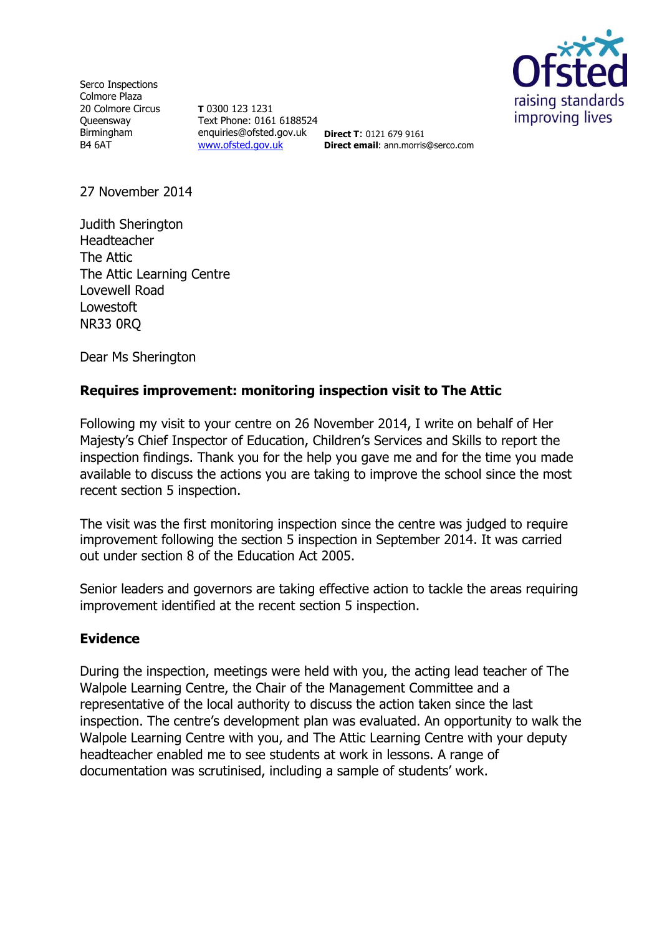

Serco Inspections Colmore Plaza 20 Colmore Circus **Oueensway** Birmingham B4 6AT

**T** 0300 123 1231 Text Phone: 0161 6188524 enquiries@ofsted.gov.uk **Direct T**: 0121 679 9161 [www.ofsted.gov.uk](http://www.ofsted.gov.uk/)

**Direct email**: ann.morris@serco.com

27 November 2014

Judith Sherington Headteacher The Attic The Attic Learning Centre Lovewell Road Lowestoft NR33 0RQ

Dear Ms Sherington

# **Requires improvement: monitoring inspection visit to The Attic**

Following my visit to your centre on 26 November 2014, I write on behalf of Her Majesty's Chief Inspector of Education, Children's Services and Skills to report the inspection findings. Thank you for the help you gave me and for the time you made available to discuss the actions you are taking to improve the school since the most recent section 5 inspection.

The visit was the first monitoring inspection since the centre was judged to require improvement following the section 5 inspection in September 2014. It was carried out under section 8 of the Education Act 2005.

Senior leaders and governors are taking effective action to tackle the areas requiring improvement identified at the recent section 5 inspection.

# **Evidence**

During the inspection, meetings were held with you, the acting lead teacher of The Walpole Learning Centre, the Chair of the Management Committee and a representative of the local authority to discuss the action taken since the last inspection. The centre's development plan was evaluated. An opportunity to walk the Walpole Learning Centre with you, and The Attic Learning Centre with your deputy headteacher enabled me to see students at work in lessons. A range of documentation was scrutinised, including a sample of students' work.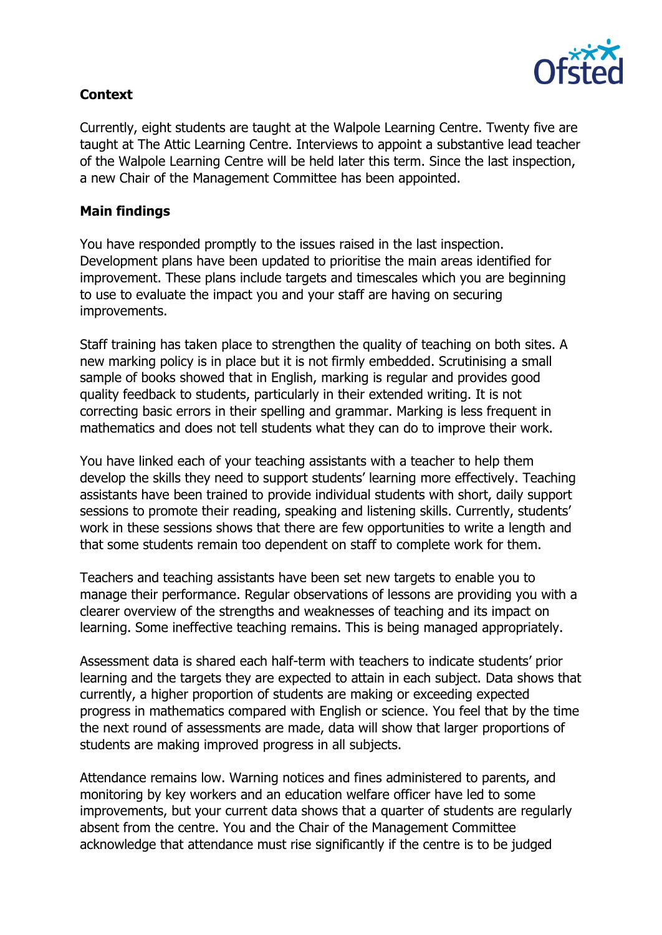

# **Context**

Currently, eight students are taught at the Walpole Learning Centre. Twenty five are taught at The Attic Learning Centre. Interviews to appoint a substantive lead teacher of the Walpole Learning Centre will be held later this term. Since the last inspection, a new Chair of the Management Committee has been appointed.

### **Main findings**

You have responded promptly to the issues raised in the last inspection. Development plans have been updated to prioritise the main areas identified for improvement. These plans include targets and timescales which you are beginning to use to evaluate the impact you and your staff are having on securing improvements.

Staff training has taken place to strengthen the quality of teaching on both sites. A new marking policy is in place but it is not firmly embedded. Scrutinising a small sample of books showed that in English, marking is regular and provides good quality feedback to students, particularly in their extended writing. It is not correcting basic errors in their spelling and grammar. Marking is less frequent in mathematics and does not tell students what they can do to improve their work.

You have linked each of your teaching assistants with a teacher to help them develop the skills they need to support students' learning more effectively. Teaching assistants have been trained to provide individual students with short, daily support sessions to promote their reading, speaking and listening skills. Currently, students' work in these sessions shows that there are few opportunities to write a length and that some students remain too dependent on staff to complete work for them.

Teachers and teaching assistants have been set new targets to enable you to manage their performance. Regular observations of lessons are providing you with a clearer overview of the strengths and weaknesses of teaching and its impact on learning. Some ineffective teaching remains. This is being managed appropriately.

Assessment data is shared each half-term with teachers to indicate students' prior learning and the targets they are expected to attain in each subject. Data shows that currently, a higher proportion of students are making or exceeding expected progress in mathematics compared with English or science. You feel that by the time the next round of assessments are made, data will show that larger proportions of students are making improved progress in all subjects.

Attendance remains low. Warning notices and fines administered to parents, and monitoring by key workers and an education welfare officer have led to some improvements, but your current data shows that a quarter of students are regularly absent from the centre. You and the Chair of the Management Committee acknowledge that attendance must rise significantly if the centre is to be judged